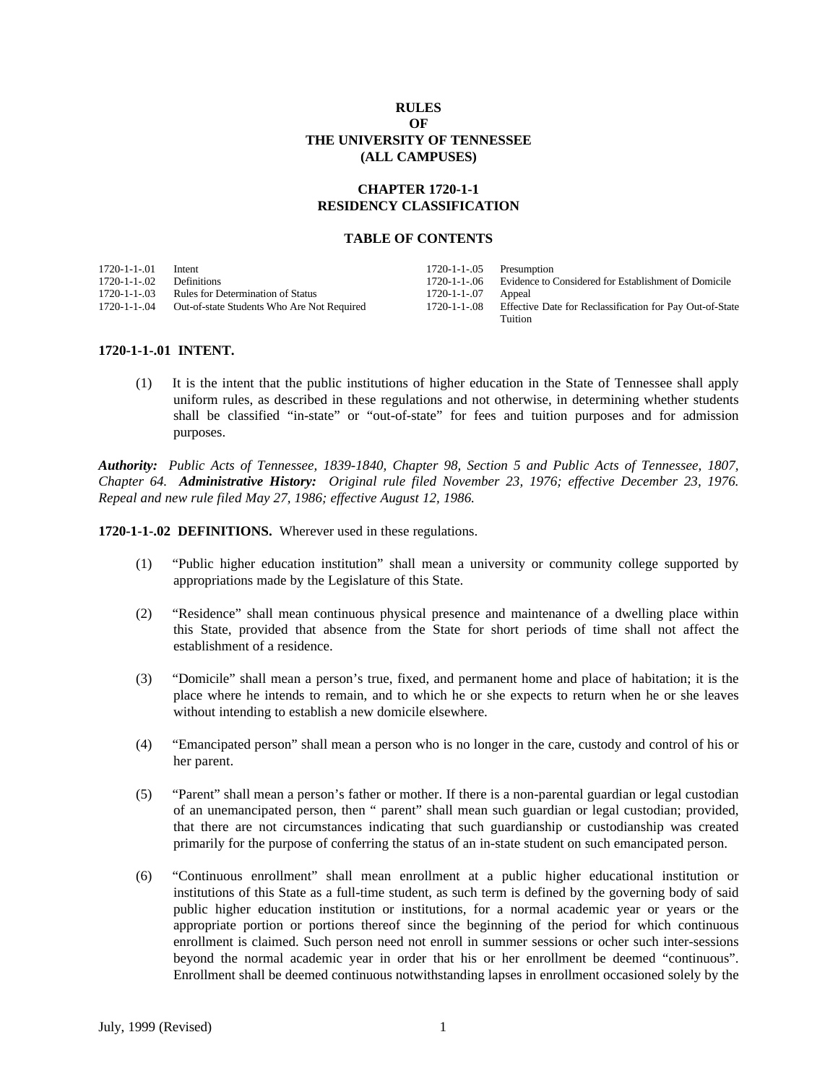### **RULES OF THE UNIVERSITY OF TENNESSEE (ALL CAMPUSES)**

# **CHAPTER 1720-1-1 RESIDENCY CLASSIFICATION**

#### **TABLE OF CONTENTS**

| 1720-1-1-01  | Intent                                     | $1720-1-1-05$ Presumption |                                                                  |
|--------------|--------------------------------------------|---------------------------|------------------------------------------------------------------|
| 1720-1-1-.02 | <b>Definitions</b>                         |                           | 1720-1-1-06 Evidence to Considered for Establishment of Domicile |
| 1720-1-1-03  | <b>Rules for Determination of Status</b>   | 1720-1-1-.07              | Appeal                                                           |
| 1720-1-1-.04 | Out-of-state Students Who Are Not Required | 1720-1-1-.08              | Effective Date for Reclassification for Pay Out-of-State         |
|              |                                            |                           | Tuition                                                          |

#### **1720-1-1-.01 INTENT.**

(1) It is the intent that the public institutions of higher education in the State of Tennessee shall apply uniform rules, as described in these regulations and not otherwise, in determining whether students shall be classified "in-state" or "out-of-state" for fees and tuition purposes and for admission purposes.

*Authority: Public Acts of Tennessee, 1839-1840, Chapter 98, Section 5 and Public Acts of Tennessee, 1807, Chapter 64. Administrative History: Original rule filed November 23, 1976; effective December 23, 1976. Repeal and new rule filed May 27, 1986; effective August 12, 1986.*

**1720-1-1-.02 DEFINITIONS.** Wherever used in these regulations.

- (1) "Public higher education institution" shall mean a university or community college supported by appropriations made by the Legislature of this State.
- (2) "Residence" shall mean continuous physical presence and maintenance of a dwelling place within this State, provided that absence from the State for short periods of time shall not affect the establishment of a residence.
- (3) "Domicile" shall mean a person's true, fixed, and permanent home and place of habitation; it is the place where he intends to remain, and to which he or she expects to return when he or she leaves without intending to establish a new domicile elsewhere.
- (4) "Emancipated person" shall mean a person who is no longer in the care, custody and control of his or her parent.
- (5) "Parent" shall mean a person's father or mother. If there is a non-parental guardian or legal custodian of an unemancipated person, then " parent" shall mean such guardian or legal custodian; provided, that there are not circumstances indicating that such guardianship or custodianship was created primarily for the purpose of conferring the status of an in-state student on such emancipated person.
- (6) "Continuous enrollment" shall mean enrollment at a public higher educational institution or institutions of this State as a full-time student, as such term is defined by the governing body of said public higher education institution or institutions, for a normal academic year or years or the appropriate portion or portions thereof since the beginning of the period for which continuous enrollment is claimed. Such person need not enroll in summer sessions or ocher such inter-sessions beyond the normal academic year in order that his or her enrollment be deemed "continuous". Enrollment shall be deemed continuous notwithstanding lapses in enrollment occasioned solely by the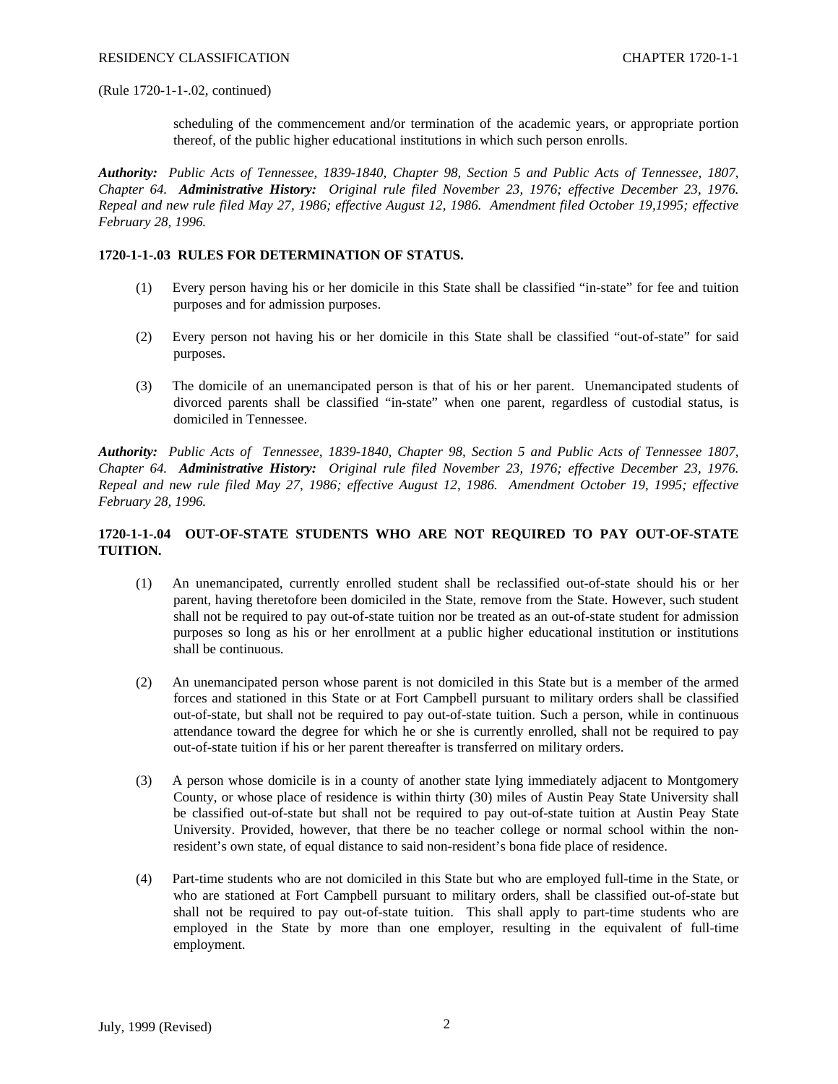#### (Rule 1720-1-1-.02, continued)

scheduling of the commencement and/or termination of the academic years, or appropriate portion thereof, of the public higher educational institutions in which such person enrolls.

*Authority: Public Acts of Tennessee, 1839-1840, Chapter 98, Section 5 and Public Acts of Tennessee, 1807, Chapter 64. Administrative History: Original rule filed November 23, 1976; effective December 23, 1976. Repeal and new rule filed May 27, 1986; effective August 12, 1986. Amendment filed October 19,1995; effective February 28, 1996.*

### **1720-1-1-.03 RULES FOR DETERMINATION OF STATUS.**

- (1) Every person having his or her domicile in this State shall be classified "in-state" for fee and tuition purposes and for admission purposes.
- (2) Every person not having his or her domicile in this State shall be classified "out-of-state" for said purposes.
- (3) The domicile of an unemancipated person is that of his or her parent. Unemancipated students of divorced parents shall be classified "in-state" when one parent, regardless of custodial status, is domiciled in Tennessee.

*Authority: Public Acts of Tennessee, 1839-1840, Chapter 98, Section 5 and Public Acts of Tennessee 1807, Chapter 64. Administrative History: Original rule filed November 23, 1976; effective December 23, 1976. Repeal and new rule filed May 27, 1986; effective August 12, 1986. Amendment October 19, 1995; effective February 28, 1996.*

# **1720-1-1-.04 OUT-OF-STATE STUDENTS WHO ARE NOT REQUIRED TO PAY OUT-OF-STATE TUITION.**

- (1) An unemancipated, currently enrolled student shall be reclassified out-of-state should his or her parent, having theretofore been domiciled in the State, remove from the State. However, such student shall not be required to pay out-of-state tuition nor be treated as an out-of-state student for admission purposes so long as his or her enrollment at a public higher educational institution or institutions shall be continuous.
- (2) An unemancipated person whose parent is not domiciled in this State but is a member of the armed forces and stationed in this State or at Fort Campbell pursuant to military orders shall be classified out-of-state, but shall not be required to pay out-of-state tuition. Such a person, while in continuous attendance toward the degree for which he or she is currently enrolled, shall not be required to pay out-of-state tuition if his or her parent thereafter is transferred on military orders.
- (3) A person whose domicile is in a county of another state lying immediately adjacent to Montgomery County, or whose place of residence is within thirty (30) miles of Austin Peay State University shall be classified out-of-state but shall not be required to pay out-of-state tuition at Austin Peay State University. Provided, however, that there be no teacher college or normal school within the nonresident's own state, of equal distance to said non-resident's bona fide place of residence.
- (4) Part-time students who are not domiciled in this State but who are employed full-time in the State, or who are stationed at Fort Campbell pursuant to military orders, shall be classified out-of-state but shall not be required to pay out-of-state tuition. This shall apply to part-time students who are employed in the State by more than one employer, resulting in the equivalent of full-time employment.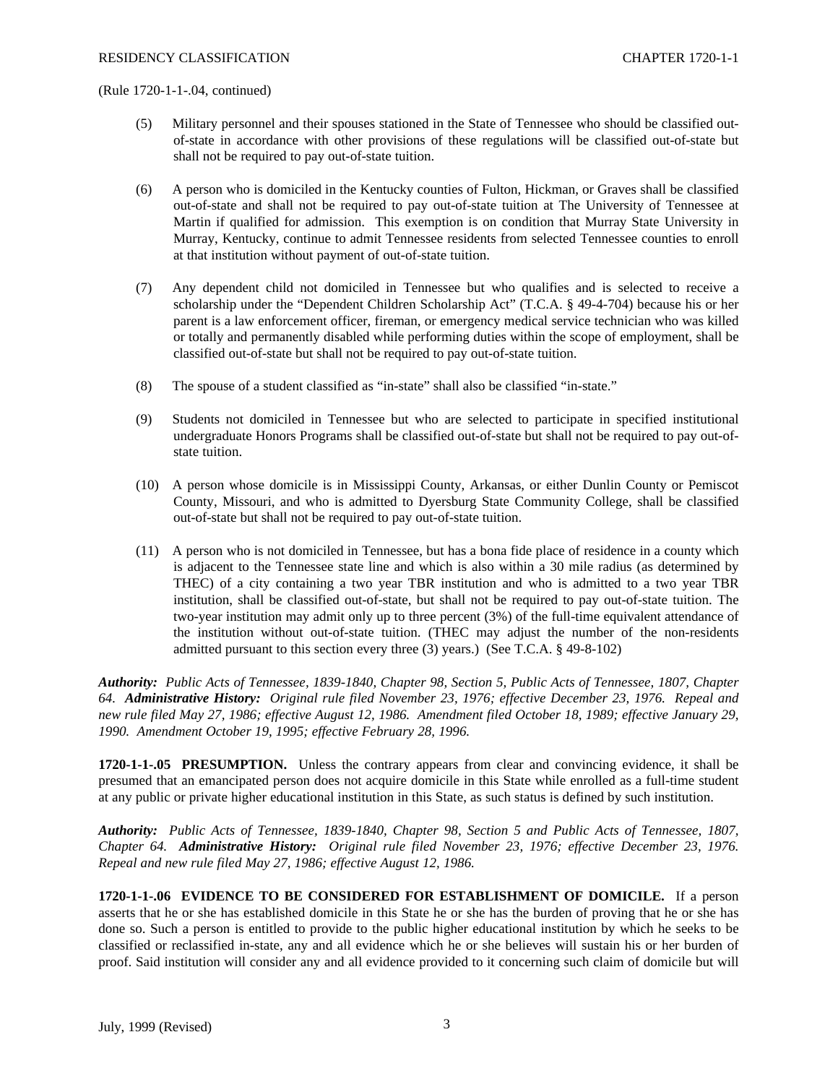(Rule 1720-1-1-.04, continued)

- (5) Military personnel and their spouses stationed in the State of Tennessee who should be classified outof-state in accordance with other provisions of these regulations will be classified out-of-state but shall not be required to pay out-of-state tuition.
- (6) A person who is domiciled in the Kentucky counties of Fulton, Hickman, or Graves shall be classified out-of-state and shall not be required to pay out-of-state tuition at The University of Tennessee at Martin if qualified for admission. This exemption is on condition that Murray State University in Murray, Kentucky, continue to admit Tennessee residents from selected Tennessee counties to enroll at that institution without payment of out-of-state tuition.
- (7) Any dependent child not domiciled in Tennessee but who qualifies and is selected to receive a scholarship under the "Dependent Children Scholarship Act" (T.C.A. § 49-4-704) because his or her parent is a law enforcement officer, fireman, or emergency medical service technician who was killed or totally and permanently disabled while performing duties within the scope of employment, shall be classified out-of-state but shall not be required to pay out-of-state tuition.
- (8) The spouse of a student classified as "in-state" shall also be classified "in-state."
- (9) Students not domiciled in Tennessee but who are selected to participate in specified institutional undergraduate Honors Programs shall be classified out-of-state but shall not be required to pay out-ofstate tuition.
- (10) A person whose domicile is in Mississippi County, Arkansas, or either Dunlin County or Pemiscot County, Missouri, and who is admitted to Dyersburg State Community College, shall be classified out-of-state but shall not be required to pay out-of-state tuition.
- (11) A person who is not domiciled in Tennessee, but has a bona fide place of residence in a county which is adjacent to the Tennessee state line and which is also within a 30 mile radius (as determined by THEC) of a city containing a two year TBR institution and who is admitted to a two year TBR institution, shall be classified out-of-state, but shall not be required to pay out-of-state tuition. The two-year institution may admit only up to three percent (3%) of the full-time equivalent attendance of the institution without out-of-state tuition. (THEC may adjust the number of the non-residents admitted pursuant to this section every three (3) years.) (See T.C.A. § 49-8-102)

*Authority: Public Acts of Tennessee, 1839-1840, Chapter 98, Section 5, Public Acts of Tennessee, 1807, Chapter 64. Administrative History: Original rule filed November 23, 1976; effective December 23, 1976. Repeal and new rule filed May 27, 1986; effective August 12, 1986. Amendment filed October 18, 1989; effective January 29, 1990. Amendment October 19, 1995; effective February 28, 1996.*

**1720-1-1-.05 PRESUMPTION.** Unless the contrary appears from clear and convincing evidence, it shall be presumed that an emancipated person does not acquire domicile in this State while enrolled as a full-time student at any public or private higher educational institution in this State, as such status is defined by such institution.

*Authority: Public Acts of Tennessee, 1839-1840, Chapter 98, Section 5 and Public Acts of Tennessee, 1807, Chapter 64. Administrative History: Original rule filed November 23, 1976; effective December 23, 1976. Repeal and new rule filed May 27, 1986; effective August 12, 1986.*

**1720-1-1-.06 EVIDENCE TO BE CONSIDERED FOR ESTABLISHMENT OF DOMICILE.** If a person asserts that he or she has established domicile in this State he or she has the burden of proving that he or she has done so. Such a person is entitled to provide to the public higher educational institution by which he seeks to be classified or reclassified in-state, any and all evidence which he or she believes will sustain his or her burden of proof. Said institution will consider any and all evidence provided to it concerning such claim of domicile but will